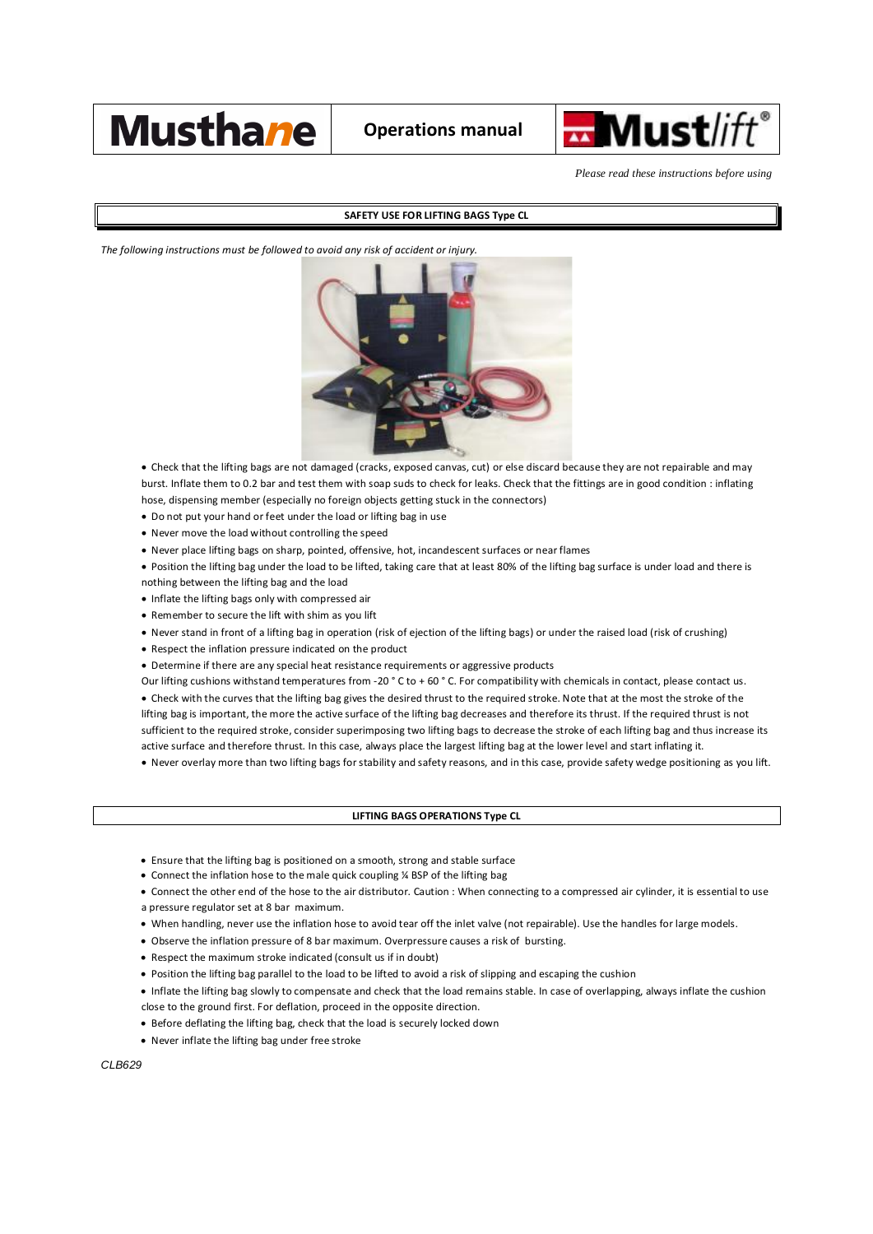



*Please read these instructions before using*

## **SAFETY USE FOR LIFTING BAGS Type CL**

*The following instructions must be followed to avoid any risk of accident or injury.*



· Check that the lifting bags are not damaged (cracks, exposed canvas, cut) or else discard because they are not repairable and may burst. Inflate them to 0.2 bar and test them with soap suds to check for leaks. Check that the fittings are in good condition : inflating hose, dispensing member (especially no foreign objects getting stuck in the connectors)

- · Do not put your hand or feet under the load or lifting bag in use
- · Never move the load without controlling the speed
- · Never place lifting bags on sharp, pointed, offensive, hot, incandescent surfaces or near flames
- · Position the lifting bag under the load to be lifted, taking care that at least 80% of the lifting bag surface is under load and there is nothing between the lifting bag and the load
- · Inflate the lifting bags only with compressed air
- · Remember to secure the lift with shim as you lift
- · Never stand in front of a lifting bag in operation (risk of ejection of the lifting bags) or under the raised load (risk of crushing)
- · Respect the inflation pressure indicated on the product
- · Determine if there are any special heat resistance requirements or aggressive products

Our lifting cushions withstand temperatures from -20  $^{\circ}$  C to + 60  $^{\circ}$  C. For compatibility with chemicals in contact, please contact us.

· Check with the curves that the lifting bag gives the desired thrust to the required stroke. Note that at the most the stroke of the lifting bag is important, the more the active surface of the lifting bag decreases and therefore its thrust. If the required thrust is not sufficient to the required stroke, consider superimposing two lifting bags to decrease the stroke of each lifting bag and thus increase its active surface and therefore thrust. In this case, always place the largest lifting bag at the lower level and start inflating it.

· Never overlay more than two lifting bags for stability and safety reasons, and in this case, provide safety wedge positioning as you lift.

## **LIFTING BAGS OPERATIONS Type CL**

- · Ensure that the lifting bag is positioned on a smooth, strong and stable surface
- · Connect the inflation hose to the male quick coupling ¼ BSP of the lifting bag
- · Connect the other end of the hose to the air distributor. Caution : When connecting to a compressed air cylinder, it is essential to use a pressure regulator set at 8 bar maximum.
- · When handling, never use the inflation hose to avoid tear off the inlet valve (not repairable). Use the handles for large models.
- · Observe the inflation pressure of 8 bar maximum. Overpressure causes a risk of bursting.
- · Respect the maximum stroke indicated (consult us if in doubt)
- · Position the lifting bag parallel to the load to be lifted to avoid a risk of slipping and escaping the cushion
- · Inflate the lifting bag slowly to compensate and check that the load remains stable. In case of overlapping, always inflate the cushion close to the ground first. For deflation, proceed in the opposite direction.
- · Before deflating the lifting bag, check that the load is securely locked down
- · Never inflate the lifting bag under free stroke

*CLB629*